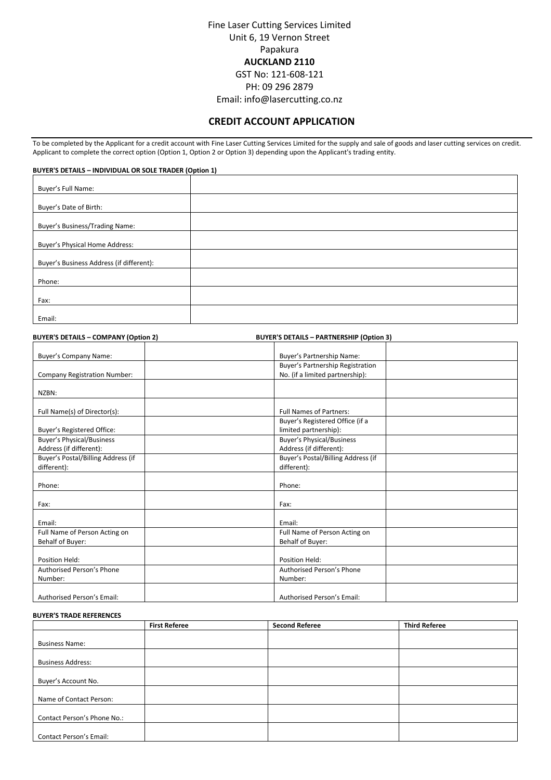Fine Laser Cutting Services Limited Unit 6, 19 Vernon Street Papakura **AUCKLAND 2110** GST No: 121-608-121 PH: 09 296 2879

Email: info@lasercutting.co.nz

# **CREDIT ACCOUNT APPLICATION**

To be completed by the Applicant for a credit account with Fine Laser Cutting Services Limited for the supply and sale of goods and laser cutting services on credit. Applicant to complete the correct option (Option 1, Option 2 or Option 3) depending upon the Applicant's trading entity.

**BUYER'S DETAILS – INDIVIDUAL OR SOLE TRADER (Option 1)**

| Buyer's Full Name:                       |  |
|------------------------------------------|--|
| Buyer's Date of Birth:                   |  |
| Buyer's Business/Trading Name:           |  |
| Buyer's Physical Home Address:           |  |
| Buyer's Business Address (if different): |  |
| Phone:                                   |  |
| Fax:                                     |  |
|                                          |  |
| Email:                                   |  |

| <b>BUYER'S DETAILS - COMPANY (Option 2)</b> | <b>BUYER'S DETAILS - PARTNERSHIP (Option 3)</b> |  |
|---------------------------------------------|-------------------------------------------------|--|
| Buyer's Company Name:                       | Buyer's Partnership Name:                       |  |
|                                             | Buyer's Partnership Registration                |  |
| <b>Company Registration Number:</b>         | No. (if a limited partnership):                 |  |
|                                             |                                                 |  |
| NZBN:                                       |                                                 |  |
| Full Name(s) of Director(s):                | <b>Full Names of Partners:</b>                  |  |
|                                             | Buyer's Registered Office (if a                 |  |
| Buyer's Registered Office:                  | limited partnership):                           |  |
| <b>Buyer's Physical/Business</b>            | <b>Buyer's Physical/Business</b>                |  |
| Address (if different):                     | Address (if different):                         |  |
| Buyer's Postal/Billing Address (if          | Buyer's Postal/Billing Address (if              |  |
| different):                                 | different):                                     |  |
|                                             |                                                 |  |
| Phone:                                      | Phone:                                          |  |
| Fax:                                        | Fax:                                            |  |
|                                             |                                                 |  |
| Email:                                      | Email:                                          |  |
| Full Name of Person Acting on               | Full Name of Person Acting on                   |  |
| Behalf of Buyer:                            | Behalf of Buyer:                                |  |
|                                             |                                                 |  |
| Position Held:                              | Position Held:                                  |  |
| Authorised Person's Phone                   | Authorised Person's Phone                       |  |
| Number:                                     | Number:                                         |  |
|                                             |                                                 |  |
| Authorised Person's Email:                  | Authorised Person's Email:                      |  |

#### **BUYER'S TRADE REFERENCES**

|                                | <b>First Referee</b> | <b>Second Referee</b> | <b>Third Referee</b> |
|--------------------------------|----------------------|-----------------------|----------------------|
|                                |                      |                       |                      |
| <b>Business Name:</b>          |                      |                       |                      |
|                                |                      |                       |                      |
| <b>Business Address:</b>       |                      |                       |                      |
|                                |                      |                       |                      |
| Buyer's Account No.            |                      |                       |                      |
|                                |                      |                       |                      |
| Name of Contact Person:        |                      |                       |                      |
|                                |                      |                       |                      |
| Contact Person's Phone No.:    |                      |                       |                      |
|                                |                      |                       |                      |
| <b>Contact Person's Email:</b> |                      |                       |                      |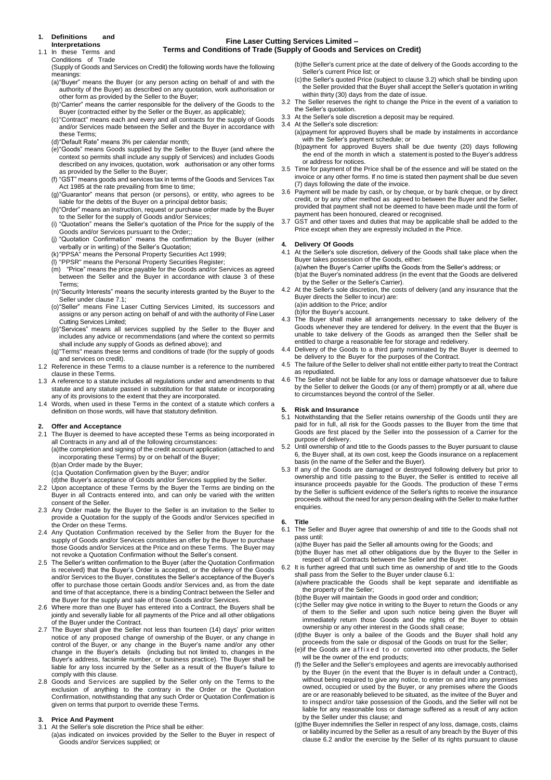#### **1. Definitions and Interpretations**

In these Terms and Conditions of Trade

#### **Fine Laser Cutting Services Limited – Terms and Conditions of Trade (Supply of Goods and Services on Credit)**

(Supply of Goods and Services on Credit) the following words have the following meanings:

- (a)"Buyer" means the Buyer (or any person acting on behalf of and with the authority of the Buyer) as described on any quotation, work authorisation or other form as provided by the Seller to the Buyer;
- (b)"Carrier" means the carrier responsible for the delivery of the Goods to the Buyer (contracted either by the Seller or the Buyer, as applicable);
- (c)"Contract" means each and every and all contracts for the supply of Goods and/or Services made between the Seller and the Buyer in accordance with these Terms;
- (d)"Default Rate" means 3% per calendar month;
- (e)"Goods" means Goods supplied by the Seller to the Buyer (and where the context so permits shall include any supply of Services) and includes Goods described on any invoices, quotation, work authorisation or any other forms as provided by the Seller to the Buyer;
- (f) "GST" means goods and services tax in terms of the Goods and Services Tax Act 1985 at the rate prevailing from time to time;
- (g)"Guarantor" means that person (or persons), or entity, who agrees to be liable for the debts of the Buyer on a principal debtor basis;
- (h)"Order" means an instruction, request or purchase order made by the Buyer to the Seller for the supply of Goods and/or Services;
- (i) "Quotation" means the Seller's quotation of the Price for the supply of the Goods and/or Services pursuant to the Order;;
- (j) "Quotation Confirmation" means the confirmation by the Buyer (either verbally or in writing) of the Seller's Quotation;
- (k)"PPSA" means the Personal Property Securities Act 1999;
- (l) "PPSR" means the Personal Property Securities Register;
- (m) "Price" means the price payable for the Goods and/or Services as agreed between the Seller and the Buyer in accordance with clause 3 of these Terms;
- (n)"Security Interests" means the security interests granted by the Buyer to the Seller under clause 7.1;
- (o)"Seller" means Fine Laser Cutting Services Limited, its successors and assigns or any person acting on behalf of and with the authority of Fine Laser Cutting Services Limited;
- (p)"Services" means all services supplied by the Seller to the Buyer and includes any advice or recommendations (and where the context so permits shall include any supply of Goods as defined above); and
- (q)"Terms" means these terms and conditions of trade (for the supply of goods and services on credit).
- 1.2 Reference in these Terms to a clause number is a reference to the numbered clause in these Terms.
- 1.3 A reference to a statute includes all regulations under and amendments to that statute and any statute passed in substitution for that statute or incorporating any of its provisions to the extent that they are incorporated.
- 1.4 Words, when used in these Terms in the context of a statute which confers a definition on those words, will have that statutory definition.

# **2. Offer and Acceptance**

- The Buyer is deemed to have accepted these Terms as being incorporated in all Contracts in any and all of the following circumstances:
- (a)the completion and signing of the credit account application (attached to and incorporating these Terms) by or on behalf of the Buyer;
- (b)an Order made by the Buyer;

(c)a Quotation Confirmation given by the Buyer; and/or

- (d)the Buyer's acceptance of Goods and/or Services supplied by the Seller. 2.2 Upon acceptance of these Terms by the Buyer the Terms are binding on the Buyer in all Contracts entered into, and can only be varied with the written consent of the Seller.
- 2.3 Any Order made by the Buyer to the Seller is an invitation to the Seller to provide a Quotation for the supply of the Goods and/or Services specified in .<br>the Order on these Terms.
- 2.4 Any Quotation Confirmation received by the Seller from the Buyer for the supply of Goods and/or Services constitutes an offer by the Buyer to purchase those Goods and/or Services at the Price and on these Terms. The Buyer may not revoke a Quotation Confirmation without the Seller's consent.
- 2.5 The Seller's written confirmation to the Buyer (after the Quotation Confirmation is received) that the Buyer's Order is accepted, or the delivery of the Goods and/or Services to the Buyer, constitutes the Seller's acceptance of the Buyer's offer to purchase those certain Goods and/or Services and, as from the date and time of that acceptance, there is a binding Contract between the Seller and the Buyer for the supply and sale of those Goods and/or Services.
- 2.6 Where more than one Buyer has entered into a Contract, the Buyers shall be jointly and severally liable for all payments of the Price and all other obligations of the Buyer under the Contract.
- 2.7 The Buyer shall give the Seller not less than fourteen (14) days' prior written notice of any proposed change of ownership of the Buyer, or any change in control of the Buyer, or any change in the Buyer's name and/or any other change in the Buyer's details (including but not limited to, changes in the Buyer's address, facsimile number, or business practice). The Buyer shall be liable for any loss incurred by the Seller as a result of the Buyer's failure to comply with this clause.
- 2.8 Goods and Services are supplied by the Seller only on the Terms to the exclusion of anything to the contrary in the Order or the Quotation Confirmation, notwithstanding that any such Order or Quotation Confirmation is given on terms that purport to override these Terms.

#### **3. Price And Payment**

3.1 At the Seller's sole discretion the Price shall be either:

(a)as indicated on invoices provided by the Seller to the Buyer in respect of Goods and/or Services supplied; or

- (b)the Seller's current price at the date of delivery of the Goods according to the Seller's current Price list; or
- (c)the Seller's quoted Price (subject to clause 3.2) which shall be binding upon the Seller provided that the Buyer shall accept the Seller's quotation in writing within thirty (30) days from the date of issue.
- 3.2 The Seller reserves the right to change the Price in the event of a variation to the Seller's quotation.
- 3.3 At the Seller's sole discretion a deposit may be required.
- 3.4 At the Seller's sole discretion: (a)payment for approved Buyers shall be made by instalments in accordance with the Seller's payment schedule; or
	- (b)payment for approved Buyers shall be due twenty (20) days following the end of the month in which a statement is posted to the Buyer's address or address for notices.
- 3.5 Time for payment of the Price shall be of the essence and will be stated on the invoice or any other forms. If no time is stated then payment shall be due seven (7) days following the date of the invoice.
- 3.6 Payment will be made by cash, or by cheque, or by bank cheque, or by direct credit, or by any other method as agreed to between the Buyer and the Seller, provided that payment shall not be deemed to have been made until the form of payment has been honoured, cleared or recognised.
- 3.7 GST and other taxes and duties that may be applicable shall be added to the Price except when they are expressly included in the Price.

#### **4. Delivery Of Goods**

- 4.1 At the Seller's sole discretion, delivery of the Goods shall take place when the Buyer takes possession of the Goods, either:
	- (a)when the Buyer's Carrier uplifts the Goods from the Seller's address; or
	- (b)at the Buyer's nominated address (in the event that the Goods are delivered by the Seller or the Seller's Carrier).
- 4.2 At the Seller's sole discretion, the costs of delivery (and any insurance that the Buyer directs the Seller to incur) are: (a)in addition to the Price; and/or

(b)for the Buyer's account.

- 4.3 The Buyer shall make all arrangements necessary to take delivery of the Goods whenever they are tendered for delivery. In the event that the Buyer is unable to take delivery of the Goods as arranged then the Seller shall be entitled to charge a reasonable fee for storage and redelivery.
- 4.4 Delivery of the Goods to a third party nominated by the Buyer is deemed to be delivery to the Buyer for the purposes of the Contract.
- 4.5 The failure of the Seller to deliver shall not entitle either party to treat the Contract as repudiated.
- 4.6 The Seller shall not be liable for any loss or damage whatsoever due to failure by the Seller to deliver the Goods (or any of them) promptly or at all, where due to circumstances beyond the control of the Seller.

#### **5. Risk and Insurance**

- 5.1 Notwithstanding that the Seller retains ownership of the Goods until they are paid for in full, all risk for the Goods passes to the Buyer from the time that Goods are first placed by the Seller into the possession of a Carrier for the purpose of delivery.
- 5.2 Until ownership of and title to the Goods passes to the Buyer pursuant to clause 6, the Buyer shall, at its own cost, keep the Goods insurance on a replacement basis (in the name of the Seller and the Buyer).
- 5.3 If any of the Goods are damaged or destroyed following delivery but prior to ownership and title passing to the Buyer, the Seller is entitled to receive all insurance proceeds payable for the Goods. The production of these Terms by the Seller is sufficient evidence of the Seller's rights to receive the insurance proceeds without the need for any person dealing with the Seller to make further enquiries.

**6. Title** The Seller and Buyer agree that ownership of and title to the Goods shall not pass until:

(a)the Buyer has paid the Seller all amounts owing for the Goods; and

- (b)the Buyer has met all other obligations due by the Buyer to the Seller in respect of all Contracts between the Seller and the Buyer.
- 6.2 It is further agreed that until such time as ownership of and title to the Goods shall pass from the Seller to the Buyer under clause 6.1: (a)where practicable the Goods shall be kept separate and identifiable as

the property of the Seller; (b)the Buyer will maintain the Goods in good order and condition;

- (c)the Seller may give notice in writing to the Buyer to return the Goods or any of them to the Seller and upon such notice being given the Buyer will immediately return those Goods and the rights of the Buyer to obtain ownership or any other interest in the Goods shall cease;
- (d)the Buyer is only a bailee of the Goods and the Buyer shall hold any proceeds from the sale or disposal of the Goods on trust for the Seller;
- (e)if the Goods are affixed to or converted into other products, the Seller will be the owner of the end products;
- (f) the Seller and the Seller's employees and agents are irrevocably authorised by the Buyer (in the event that the Buyer is in default under a Contract), without being required to give any notice, to enter on and into any premises owned, occupied or used by the Buyer, or any premises where the Goods are or are reasonably believed to be situated, as the invitee of the Buyer and to inspect and/or take possession of the Goods, and the Seller will not be liable for any reasonable loss or damage suffered as a result of any action by the Seller under this clause; and
- (g)the Buyer indemnifies the Seller in respect of any loss, damage, costs, claims or liability incurred by the Seller as a result of any breach by the Buyer of this clause 6.2 and/or the exercise by the Seller of its rights pursuant to clause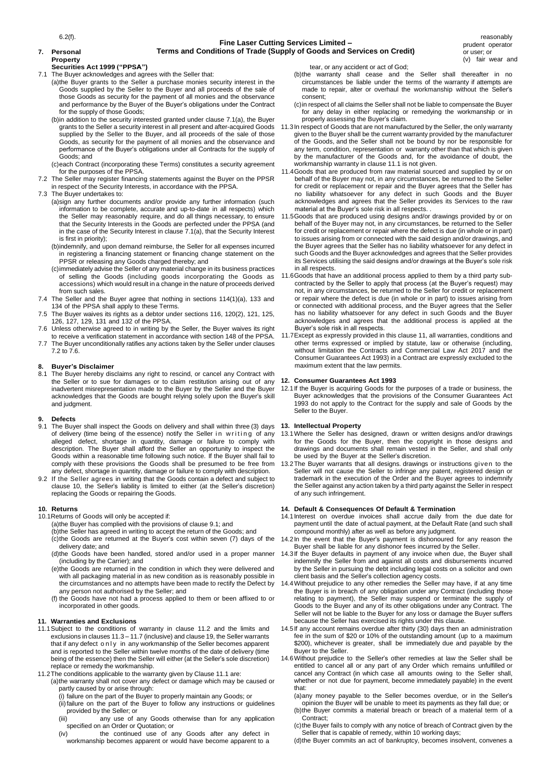6.2(f).

## **Fine Laser Cutting Services Limited – Terms and Conditions of Trade (Supply of Goods and Services on Credit)**

**7. Personal Property**

# **Securities Act 1999 ("PPSA")**

7.1 The Buyer acknowledges and agrees with the Seller that:

- (a)the Buyer grants to the Seller a purchase monies security interest in the Goods supplied by the Seller to the Buyer and all proceeds of the sale of those Goods as security for the payment of all monies and the observance and performance by the Buyer of the Buyer's obligations under the Contract for the supply of those Goods;
- (b)in addition to the security interested granted under clause 7.1(a), the Buyer supplied by the Seller to the Buyer, and all proceeds of the sale of those Goods, as security for the payment of all monies and the observance and performance of the Buyer's obligations under all Contracts for the supply of Goods; and
- (c)each Contract (incorporating these Terms) constitutes a security agreement for the purposes of the PPSA.
- 7.2 The Seller may register financing statements against the Buyer on the PPSR in respect of the Security Interests, in accordance with the PPSA.
- 7.3 The Buyer undertakes to:
	- (a)sign any further documents and/or provide any further information (such information to be complete, accurate and up-to-date in all respects) which the Seller may reasonably require, and do all things necessary, to ensure that the Security Interests in the Goods are perfected under the PPSA (and in the case of the Security Interest in clause 7.1(a), that the Security Interest is first in priority);
	- (b)indemnify, and upon demand reimburse, the Seller for all expenses incurred in registering a financing statement or financing change statement on the PPSR or releasing any Goods charged thereby; and
	- (c)immediately advise the Seller of any material change in its business practices of selling the Goods (including goods incorporating the Goods as accessions) which would result in a change in the nature of proceeds derived from such sales.
- 7.4 The Seller and the Buyer agree that nothing in sections 114(1)(a), 133 and 134 of the PPSA shall apply to these Terms.
- 7.5 The Buyer waives its rights as a debtor under sections 116, 120(2), 121, 125, 126, 127, 129, 131 and 132 of the PPSA.
- 7.6 Unless otherwise agreed to in writing by the Seller, the Buyer waives its right to receive a verification statement in accordance with section 148 of the PPSA.
- 7.7 The Buyer unconditionally ratifies any actions taken by the Seller under clauses 7.2 to 7.6.

# **8. Buyer's Disclaimer**

The Buyer hereby disclaims any right to rescind, or cancel any Contract with the Seller or to sue for damages or to claim restitution arising out of any inadvertent misrepresentation made to the Buyer by the Seller and the Buyer acknowledges that the Goods are bought relying solely upon the Buyer's skill and judgment.

# **9. Defects**

- The Buyer shall inspect the Goods on delivery and shall within three (3) days of delivery (time being of the essence) notify the Seller in writing of any alleged defect, shortage in quantity, damage or failure to comply with description. The Buyer shall afford the Seller an opportunity to inspect the Goods within a reasonable time following such notice. If the Buyer shall fail to comply with these provisions the Goods shall be presumed to be free from any defect, shortage in quantity, damage or failure to comply with description.
- 9.2 If the Seller agrees in writing that the Goods contain a defect and subject to clause 10, the Seller's liability is limited to either (at the Seller's discretion) replacing the Goods or repairing the Goods.

#### **10. Returns**

10.1Returns of Goods will only be accepted if:

- (a)the Buyer has complied with the provisions of clause 9.1; and
- (b)the Seller has agreed in writing to accept the return of the Goods; and (c)the Goods are returned at the Buyer's cost within seven (7) days of the delivery date; and
- (including by the Carrier); and
- (e)the Goods are returned in the condition in which they were delivered and with all packaging material in as new condition as is reasonably possible in the circumstances and no attempts have been made to rectify the Defect by any person not authorised by the Seller; and
- (f) the Goods have not had a process applied to them or been affixed to or incorporated in other goods.

## **11. Warranties and Exclusions**

- 11.1Subject to the conditions of warranty in clause 11.2 and the limits and exclusions in clauses 11.3 – 11.7 (inclusive) and clause 19, the Seller warrants that if any defect only in any workmanship of the Seller becomes apparent and is reported to the Seller within twelve months of the date of delivery (time being of the essence) then the Seller will either (at the Seller's sole discretion) replace or remedy the workmanship.
- 11.2The conditions applicable to the warranty given by Clause 11.1 are:
	- (a)the warranty shall not cover any defect or damage which may be caused or partly caused by or arise through:
		- (i) failure on the part of the Buyer to properly maintain any Goods; or (ii)failure on the part of the Buyer to follow any instructions or guidelines
		- provided by the Seller; or<br>iii) any use of a (iii) any use of any Goods otherwise than for any application specified on an Order or Quotation; or
		- (iv) the continued use of any Goods after any defect in workmanship becomes apparent or would have become apparent to a

tear, or any accident or act of God;

- (b)the warranty shall cease and the Seller shall thereafter in no circumstances be liable under the terms of the warranty if attempts are made to repair, alter or overhaul the workmanship without the Seller's consent;
- (c)in respect of all claims the Seller shall not be liable to compensate the Buyer for any delay in either replacing or remedying the workmanship or in properly assessing the Buyer's claim.
- grants to the Seller a security interest in all present and after-acquired Goods 11.3In respect of Goods that are not manufactured by the Seller, the only warranty given to the Buyer shall be the current warranty provided by the manufacturer of the Goods, and the Seller shall not be bound by nor be responsible for any term, condition, representation or warranty other than that which is given by the manufacturer of the Goods and, for the avoidance of doubt, the workmanship warranty in clause 11.1 is not given.
	- 11.4Goods that are produced from raw material sourced and supplied by or on behalf of the Buyer may not, in any circumstances, be returned to the Seller for credit or replacement or repair and the Buyer agrees that the Seller has no liability whatsoever for any defect in such Goods and the Buyer acknowledges and agrees that the Seller provides its Services to the raw material at the Buyer's sole risk in all respects. .
	- 11.5Goods that are produced using designs and/or drawings provided by or on behalf of the Buyer may not, in any circumstances, be returned to the Seller for credit or replacement or repair where the defect is due (in whole or in part) to issues arising from or connected with the said design and/or drawings, and the Buyer agrees that the Seller has no liability whatsoever for any defect in such Goods and the Buyer acknowledges and agrees that the Seller provides its Services utilising the said designs and/or drawings at the Buyer's sole risk in all respects.
	- 11.6Goods that have an additional process applied to them by a third party subcontracted by the Seller to apply that process (at the Buyer's request) may not, in any circumstances, be returned to the Seller for credit or replacement or repair where the defect is due (in whole or in part) to issues arising from or connected with additional process, and the Buyer agrees that the Seller has no liability whatsoever for any defect in such Goods and the Buyer acknowledges and agrees that the additional process is applied at the Buyer's sole risk in all respects.
	- 11.7Except as expressly provided in this clause 11, all warranties, conditions and other terms expressed or implied by statute, law or otherwise (including, without limitation the Contracts and Commercial Law Act 2017 and the Consumer Guarantees Act 1993) in a Contract are expressly excluded to the maximum extent that the law permits.

#### **12. Consumer Guarantees Act 1993**

12.1If the Buyer is acquiring Goods for the purposes of a trade or business, the Buyer acknowledges that the provisions of the Consumer Guarantees Act 1993 do not apply to the Contract for the supply and sale of Goods by the Seller to the Buyer.

#### **13. Intellectual Property**

- 13.1Where the Seller has designed, drawn or written designs and/or drawings for the Goods for the Buyer, then the copyright in those designs and drawings and documents shall remain vested in the Seller, and shall only be used by the Buyer at the Seller's discretion.
- 13.2The Buyer warrants that all designs. drawings or instructions given to the Seller will not cause the Seller to infringe any patent, registered design or trademark in the execution of the Order and the Buyer agrees to indemnify the Seller against any action taken by a third party against the Seller in respect of any such infringement.

#### **14. Default & Consequences Of Default & Termination**

- 14.1Interest on overdue invoices shall accrue daily from the due date for payment until the date of actual payment, at the Default Rate (and such shall compound monthly) after as well as before any judgment.
- 14.2In the event that the Buyer's payment is dishonoured for any reason the Buyer shall be liable for any dishonor fees incurred by the Seller.
- (d)the Goods have been handled, stored and/or used in a proper manner 14.3If the Buyer defaults in payment of any invoice when due, the Buyer shall indemnify the Seller from and against all costs and disbursements incurred by the Seller in pursuing the debt including legal costs on a solicitor and own client basis and the Seller's collection agency costs.
	- 14.4Without prejudice to any other remedies the Seller may have, if at any time the Buyer is in breach of any obligation under any Contract (including those relating to payment), the Seller may suspend or terminate the supply of Goods to the Buyer and any of its other obligations under any Contract. The Seller will not be liable to the Buyer for any loss or damage the Buyer suffers because the Seller has exercised its rights under this clause.
	- 14.5If any account remains overdue after thirty (30) days then an administration fee in the sum of \$20 or 10% of the outstanding amount (up to a maximum \$200), whichever is greater, shall be immediately due and payable by the Buyer to the Seller.
	- 14.6Without prejudice to the Seller's other remedies at law the Seller shall be entitled to cancel all or any part of any Order which remains unfulfilled or cancel any Contract (in which case all amounts owing to the Seller shall, whether or not due for payment, become immediately payable) in the event that:
		- (a)any money payable to the Seller becomes overdue, or in the Seller's opinion the Buyer will be unable to meet its payments as they fall due; or (b)the Buyer commits a material breach or breach of a material term of a Contract;
		- (c)the Buyer fails to comply with any notice of breach of Contract given by the Seller that is capable of remedy, within 10 working days;

(d)the Buyer commits an act of bankruptcy, becomes insolvent, convenes a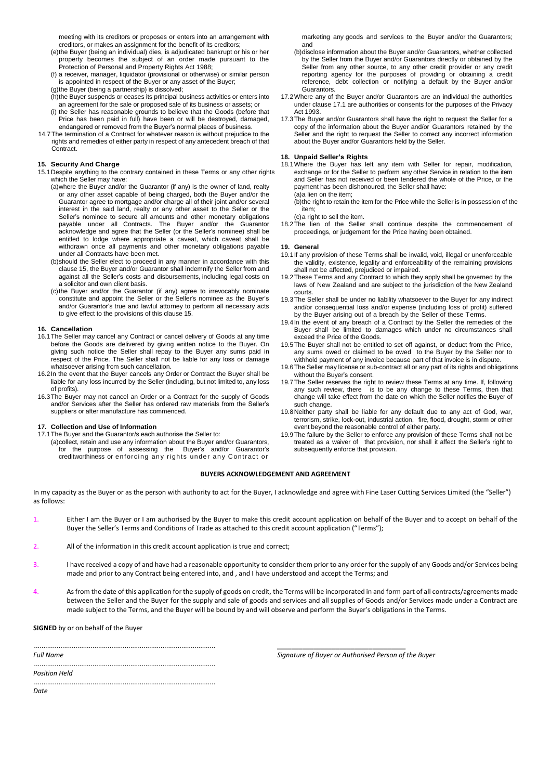meeting with its creditors or proposes or enters into an arrangement with creditors, or makes an assignment for the benefit of its creditors;

- (e)the Buyer (being an individual) dies, is adjudicated bankrupt or his or her property becomes the subject of an order made pursuant to the Protection of Personal and Property Rights Act 1988;
- (f) a receiver, manager, liquidator (provisional or otherwise) or similar person is appointed in respect of the Buyer or any asset of the Buyer;
- (g)the Buyer (being a partnership) is dissolved;
- (h)the Buyer suspends or ceases its principal business activities or enters into an agreement for the sale or proposed sale of its business or assets; or (i) the Seller has reasonable grounds to believe that the Goods (before that
- Price has been paid in full) have been or will be destroyed, damaged, endangered or removed from the Buyer's normal places of business.
- 14.7The termination of a Contract for whatever reason is without prejudice to the rights and remedies of either party in respect of any antecedent breach of that Contract.

#### **15. Security And Charge**

- 15.1Despite anything to the contrary contained in these Terms or any other rights which the Seller may have:
	- (a) where the Buyer and/or the Guarantor (if any) is the owner of land, realty or any other asset capable of being charged, both the Buyer and/or the Guarantor agree to mortgage and/or charge all of their joint and/or several interest in the said land, realty or any other asset to the Seller or the Seller's nominee to secure all amounts and other monetary obligations payable under all Contracts. The Buyer and/or the Guarantor acknowledge and agree that the Seller (or the Seller's nominee) shall be entitled to lodge where appropriate a caveat, which caveat shall be withdrawn once all payments and other monetary obligations payable under all Contracts have been met.
	- (b)should the Seller elect to proceed in any manner in accordance with this clause 15, the Buyer and/or Guarantor shall indemnify the Seller from and against all the Seller's costs and disbursements, including legal costs on a solicitor and own client basis.
	- (c)the Buyer and/or the Guarantor (if any) agree to irrevocably nominate constitute and appoint the Seller or the Seller's nominee as the Buyer's and/or Guarantor's true and lawful attorney to perform all necessary acts to give effect to the provisions of this clause 15.

#### **16. Cancellation**

- 16.1The Seller may cancel any Contract or cancel delivery of Goods at any time before the Goods are delivered by giving written notice to the Buyer. On giving such notice the Seller shall repay to the Buyer any sums paid in respect of the Price. The Seller shall not be liable for any loss or damage whatsoever arising from such cancellation.
- 16.2In the event that the Buyer cancels any Order or Contract the Buyer shall be liable for any loss incurred by the Seller (including, but not limited to, any loss of profits).
- 16.3The Buyer may not cancel an Order or a Contract for the supply of Goods and/or Services after the Seller has ordered raw materials from the Seller's suppliers or after manufacture has commenced.

#### **17. Collection and Use of Information**

17.1The Buyer and the Guarantor/s each authorise the Seller to: (a)collect, retain and use any information about the Buyer and/or Guarantors, for the purpose of assessing the Buyer's and/or Guarantor's creditworthiness or enforcing any rights under any Contract or

marketing any goods and services to the Buyer and/or the Guarantors; and

- (b)disclose information about the Buyer and/or Guarantors, whether collected by the Seller from the Buyer and/or Guarantors directly or obtained by the Seller from any other source, to any other credit provider or any credit reporting agency for the purposes of providing or obtaining a credit reference, debt collection or notifying a default by the Buyer and/or Guarantors.
- 17.2Where any of the Buyer and/or Guarantors are an individual the authorities under clause 17.1 are authorities or consents for the purposes of the Privacy Act 1993.
- 17.3The Buyer and/or Guarantors shall have the right to request the Seller for a copy of the information about the Buyer and/or Guarantors retained by the Seller and the right to request the Seller to correct any incorrect information about the Buyer and/or Guarantors held by the Seller.

#### **18. Unpaid Seller's Rights**

- 18.1Where the Buyer has left any item with Seller for repair, modification, exchange or for the Seller to perform any other Service in relation to the item and Seller has not received or been tendered the whole of the Price, or the payment has been dishonoured, the Seller shall have: (a)a lien on the item;
	- (b)the right to retain the item for the Price while the Seller is in possession of the item;

(c)a right to sell the item.

18.2The lien of the Seller shall continue despite the commencement of proceedings, or judgement for the Price having been obtained.

#### **19. General**

- 19.1If any provision of these Terms shall be invalid, void, illegal or unenforceable the validity, existence, legality and enforceability of the remaining provisions shall not be affected, prejudiced or impaired.
- 19.2These Terms and any Contract to which they apply shall be governed by the laws of New Zealand and are subject to the jurisdiction of the New Zealand courts.
- 19.3The Seller shall be under no liability whatsoever to the Buyer for any indirect and/or consequential loss and/or expense (including loss of profit) suffered by the Buyer arising out of a breach by the Seller of these Terms.
- 19.4In the event of any breach of a Contract by the Seller the remedies of the Buyer shall be limited to damages which under no circumstances shall exceed the Price of the Goods.
- 19.5The Buyer shall not be entitled to set off against, or deduct from the Price, any sums owed or claimed to be owed to the Buyer by the Seller nor to withhold payment of any invoice because part of that invoice is in dispute.
- 19.6The Seller may license or sub-contract all or any part of its rights and obligations without the Buyer's consent.
- 19.7The Seller reserves the right to review these Terms at any time. If, following any such review, there is to be any change to these Terms, then that change will take effect from the date on which the Seller notifies the Buyer of such change.
- 19.8Neither party shall be liable for any default due to any act of God, war, terrorism, strike, lock-out, industrial action, fire, flood, drought, storm or other event beyond the reasonable control of either party.
- 19.9The failure by the Seller to enforce any provision of these Terms shall not be treated as a waiver of that provision, nor shall it affect the Seller's right to subsequently enforce that provision.

### **BUYERS ACKNOWLEDGEMENT AND AGREEMENT**

In my capacity as the Buyer or as the person with authority to act for the Buyer, I acknowledge and agree with Fine Laser Cutting Services Limited (the "Seller") as follows:

- Either I am the Buyer or I am authorised by the Buyer to make this credit account application on behalf of the Buyer and to accept on behalf of the Buyer the Seller's Terms and Conditions of Trade as attached to this credit account application ("Terms");
- All of the information in this credit account application is true and correct:
- I have received a copy of and have had a reasonable opportunity to consider them prior to any order for the supply of any Goods and/or Services being made and prior to any Contract being entered into, and , and I have understood and accept the Terms; and
- 4. As from the date of this application for the supply of goods on credit, the Terms will be incorporated in and form part of all contracts/agreements made between the Seller and the Buyer for the supply and sale of goods and services and all supplies of Goods and/or Services made under a Contract are made subject to the Terms, and the Buyer will be bound by and will observe and perform the Buyer's obligations in the Terms.

**SIGNED** by or on behalf of the Buyer

*Full Name*

*Signature of Buyer or Authorised Person of the Buyer*

*\_\_\_\_\_\_\_\_\_\_\_\_\_\_\_\_\_\_\_\_\_\_\_\_\_\_\_\_\_\_\_\_\_\_\_*

*Position Held*

................................................................................................ *Date*

................................................................................................

................................................................................................